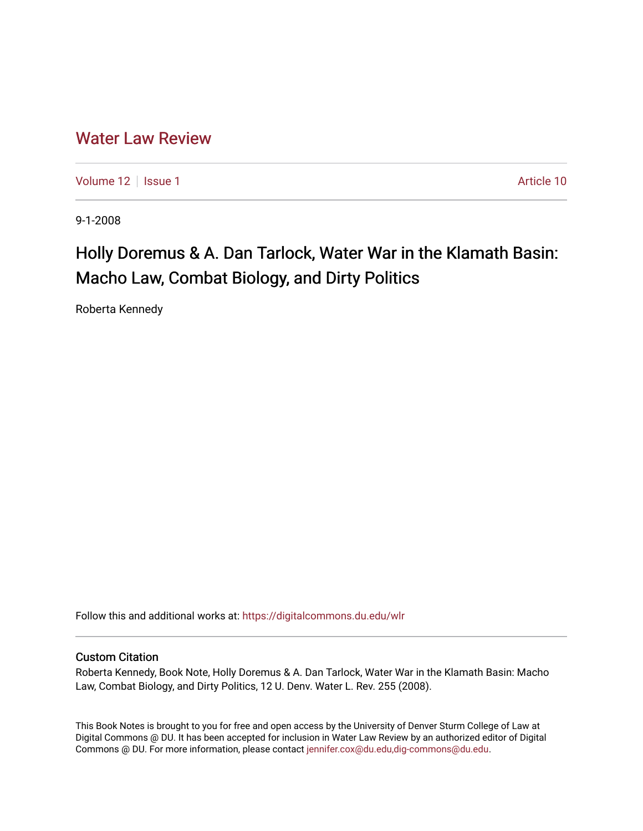## [Water Law Review](https://digitalcommons.du.edu/wlr)

[Volume 12](https://digitalcommons.du.edu/wlr/vol12) | [Issue 1](https://digitalcommons.du.edu/wlr/vol12/iss1) Article 10

9-1-2008

# Holly Doremus & A. Dan Tarlock, Water War in the Klamath Basin: Macho Law, Combat Biology, and Dirty Politics

Roberta Kennedy

Follow this and additional works at: [https://digitalcommons.du.edu/wlr](https://digitalcommons.du.edu/wlr?utm_source=digitalcommons.du.edu%2Fwlr%2Fvol12%2Fiss1%2F10&utm_medium=PDF&utm_campaign=PDFCoverPages) 

#### Custom Citation

Roberta Kennedy, Book Note, Holly Doremus & A. Dan Tarlock, Water War in the Klamath Basin: Macho Law, Combat Biology, and Dirty Politics, 12 U. Denv. Water L. Rev. 255 (2008).

This Book Notes is brought to you for free and open access by the University of Denver Sturm College of Law at Digital Commons @ DU. It has been accepted for inclusion in Water Law Review by an authorized editor of Digital Commons @ DU. For more information, please contact [jennifer.cox@du.edu,dig-commons@du.edu.](mailto:jennifer.cox@du.edu,dig-commons@du.edu)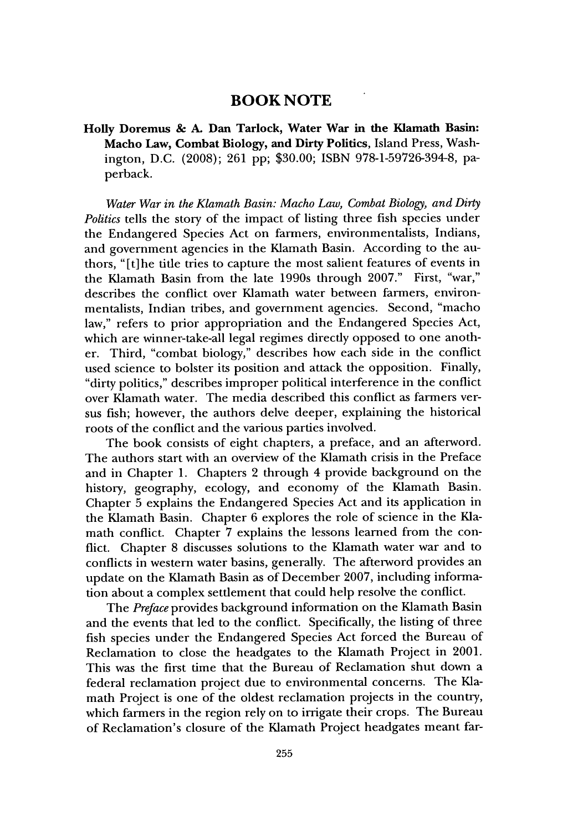### **BOOK NOTE**

**Holly Doremus & A. Dan Tarlock, Water War in the Klamath Basin: Macho Law, Combat Biology, and Dirty Politics, Island** Press, **Washington, D.C. (2008); 261 pp; \$30.00; ISBN 978-1-59726-394-8, pa**perback.

*Water War in the Klamath Basin: Macho Law, Combat Biology, and Dirty Politics* tells the story of the impact of listing three fish species under the Endangered Species Act on farmers, environmentalists, Indians, and government agencies in the Klamath Basin. According to the authors, "[t]he title tries to capture the most salient features of events in the Klamath Basin from the late 1990s through **2007."** First, "war," describes the conflict over Klamath water between farmers, environmentalists, Indian tribes, and government agencies. Second, "macho law," refers to prior appropriation and the Endangered Species Act, which are winner-take-all legal regimes directly opposed to one another. Third, "combat biology," describes how each side in the conflict used science to bolster its position and attack the opposition. Finally, "dirty politics," describes improper political interference in the conflict over Klamath water. The media described this conflict as farmers versus fish; however, the authors delve deeper, explaining the historical roots of the conflict and the various parties involved.

The book consists of eight chapters, a preface, and an afterword. The authors start with an overview of the Klamath crisis in the Preface and in Chapter **1.** Chapters 2 through 4 provide background on the history, geography, ecology, and economy of the Klamath Basin. Chapter **5** explains the Endangered Species Act and its application in the Klamath Basin. Chapter **6** explores the role of science in the Klamath conflict. Chapter **7** explains the lessons learned from the conflict. Chapter **8** discusses solutions to the Klamath water war and to conflicts in western water basins, generally. The afterword provides an update on the Klamath Basin as of December **2007,** including information about a complex settlement that could help resolve the conflict.

The *Preface* provides background information on the Klamath Basin and the events that led to the conflict. Specifically, the listing of three fish species under the Endangered Species Act forced the Bureau of Reclamation to close the headgates to the Klamath Project in 2001. This was the first time that the Bureau of Reclamation shut down a federal reclamation project due to environmental concerns. The Klamath Project is one of the oldest reclamation projects in the country, which farmers in the region rely on to irrigate their crops. The Bureau of Reclamation's closure of the Klamath Project headgates meant far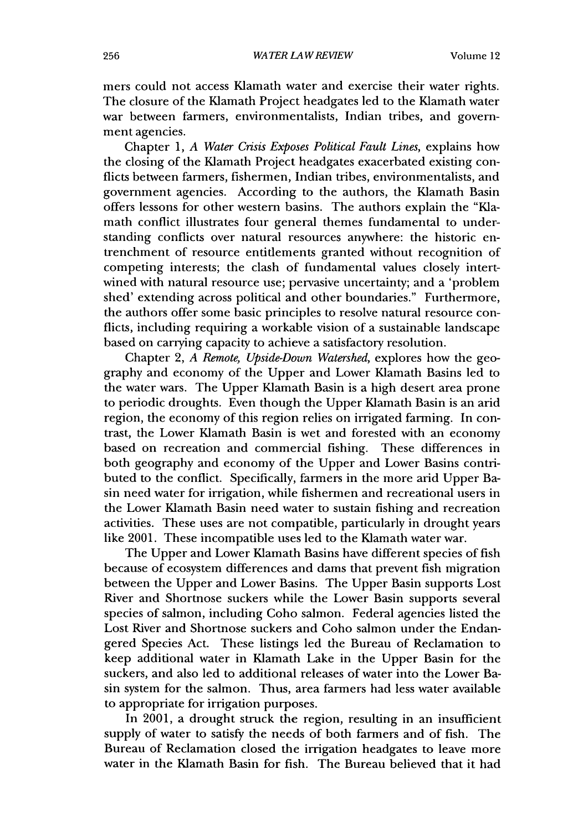mers could not access Klamath water and exercise their water rights. The closure of the Klamath Project headgates led to the Klamath water war between farmers, environmentalists, Indian tribes, and government agencies.

Chapter 1, *A Water Crisis Exposes Political Fault Lines,* explains how the closing of the Klamath Project headgates exacerbated existing conflicts between farmers, fishermen, Indian tribes, environmentalists, and government agencies. According to the authors, the Klamath Basin offers lessons for other western basins. The authors explain the "Klamath conflict illustrates four general themes fundamental to understanding conflicts over natural resources anywhere: the historic entrenchment of resource entitlements granted without recognition of competing interests; the clash of fundamental values closely intertwined with natural resource use; pervasive uncertainty; and a 'problem shed' extending across political and other boundaries." Furthermore, the authors offer some basic principles to resolve natural resource conflicts, including requiring a workable vision of a sustainable landscape based on carrying capacity to achieve a satisfactory resolution.

Chapter 2, *A Remote, Upside-Down Watershed,* explores how the geography and economy of the Upper and Lower Klamath Basins led to the water wars. The Upper Klamath Basin is a high desert area prone to periodic droughts. Even though the Upper Klamath Basin is an arid region, the economy of this region relies on irrigated farming. In contrast, the Lower Klamath Basin is wet and forested with an economy based on recreation and commercial fishing. These differences in both geography and economy of the Upper and Lower Basins contributed to the conflict. Specifically, farmers in the more arid Upper Basin need water for irrigation, while fishermen and recreational users in the Lower Klamath Basin need water to sustain fishing and recreation activities. These uses are not compatible, particularly in drought years like 2001. These incompatible uses led to the Klamath water war.

The Upper and Lower Klamath Basins have different species of fish because of ecosystem differences and dams that prevent fish migration between the Upper and Lower Basins. The Upper Basin supports Lost River and Shortnose suckers while the Lower Basin supports several species of salmon, including Coho salmon. Federal agencies listed the Lost River and Shortnose suckers and Coho salmon under the Endangered Species Act. These listings led the Bureau of Reclamation to keep additional water in Klamath Lake in the Upper Basin for the suckers, and also led to additional releases of water into the Lower Basin system for the salmon. Thus, area farmers had less water available to appropriate for irrigation purposes.

In 2001, a drought struck the region, resulting in an insufficient supply of water to satisfy the needs of both farmers and of fish. The Bureau of Reclamation closed the irrigation headgates to leave more water in the Klamath Basin for fish. The Bureau believed that it had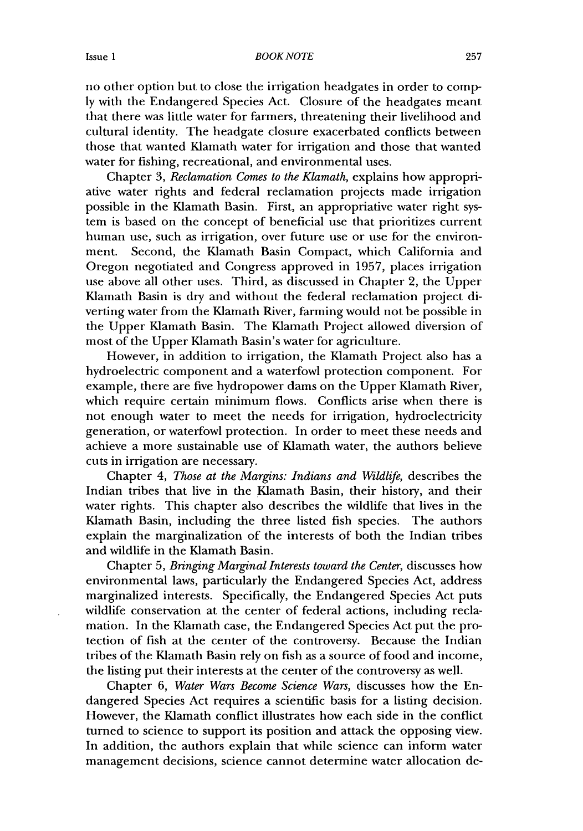#### BOOKNOTE

no other option but to close the irrigation headgates in order to comply with the Endangered Species Act. Closure of the headgates meant that there was little water for farmers, threatening their livelihood and cultural identity. The headgate closure exacerbated conflicts between those that wanted Klamath water for irrigation and those that wanted water for fishing, recreational, and environmental uses.

Chapter 3, *Reclamation Comes to the Klamath,* explains how appropriative water rights and federal reclamation projects made irrigation possible in the Klamath Basin. First, an appropriative water right system is based on the concept of beneficial use that prioritizes current human use, such as irrigation, over future use or use for the environment. Second, the Klamath Basin Compact, which California and Oregon negotiated and Congress approved in 1957, places irrigation use above all other uses. Third, as discussed in Chapter 2, the Upper Klamath Basin is dry and without the federal reclamation project diverting water from the Klamath River, farming would not be possible in the Upper Klamath Basin. The Klamath Project allowed diversion of most of the Upper Klamath Basin's water for agriculture.

However, in addition to irrigation, the Klamath Project also has a hydroelectric component and a waterfowl protection component. For example, there are five hydropower dams on the Upper Klamath River, which require certain minimum flows. Conflicts arise when there is not enough water to meet the needs for irrigation, hydroelectricity generation, or waterfowl protection. In order to meet these needs and achieve a more sustainable use of Klamath water, the authors believe cuts in irrigation are necessary.

Chapter 4, *Those at the Margins: Indians and Wildlife,* describes the Indian tribes that live in the Klamath Basin, their history, and their water rights. This chapter also describes the wildlife that lives in the Klamath Basin, including the three listed fish species. The authors explain the marginalization of the interests of both the Indian tribes and wildlife in the Klamath Basin.

Chapter 5, *Bringing Marginal Interests toward the Center,* discusses how environmental laws, particularly the Endangered Species Act, address marginalized interests. Specifically, the Endangered Species Act puts wildlife conservation at the center of federal actions, including reclamation. In the Klamath case, the Endangered Species Act put the protection of fish at the center of the controversy. Because the Indian tribes of the Klamath Basin rely on fish as a source of food and income, the listing put their interests at the center of the controversy as well.

Chapter 6, *Water Wars Become Science Wars,* discusses how the Endangered Species Act requires a scientific basis for a listing decision. However, the Klamath conflict illustrates how each side in the conflict turned to science to support its position and attack the opposing view. In addition, the authors explain that while science can inform water management decisions, science cannot determine water allocation de